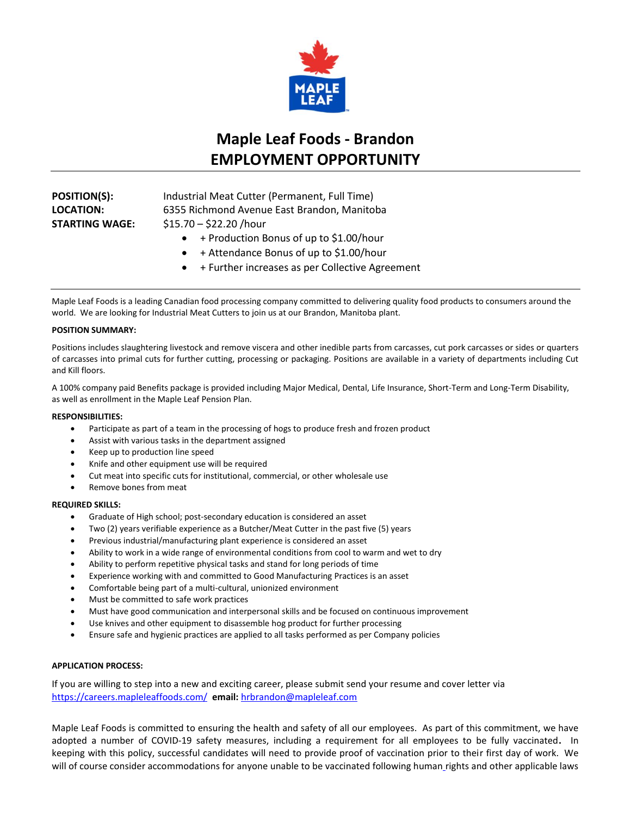

# **Maple Leaf Foods - Brandon EMPLOYMENT OPPORTUNITY**

**POSITION(S):** Industrial Meat Cutter (Permanent, Full Time) **LOCATION:** 6355 Richmond Avenue East Brandon, Manitoba **STARTING WAGE:** \$15.70 – \$22.20 /hour

- + Production Bonus of up to \$1.00/hour
- + Attendance Bonus of up to \$1.00/hour
- + Further increases as per Collective Agreement

Maple Leaf Foods is a leading Canadian food processing company committed to delivering quality food products to consumers around the world. We are looking for Industrial Meat Cutters to join us at our Brandon, Manitoba plant.

# **POSITION SUMMARY:**

Positions includes slaughtering livestock and remove viscera and other inedible parts from carcasses, cut pork carcasses or sides or quarters of carcasses into primal cuts for further cutting, processing or packaging. Positions are available in a variety of departments including Cut and Kill floors.

A 100% company paid Benefits package is provided including Major Medical, Dental, Life Insurance, Short-Term and Long-Term Disability, as well as enrollment in the Maple Leaf Pension Plan.

# **RESPONSIBILITIES:**

- Participate as part of a team in the processing of hogs to produce fresh and frozen product
- Assist with various tasks in the department assigned
- Keep up to production line speed
- Knife and other equipment use will be required
- Cut meat into specific cuts for institutional, commercial, or other wholesale use
- Remove bones from meat

# **REQUIRED SKILLS:**

- Graduate of High school; post-secondary education is considered an asset
- Two (2) years verifiable experience as a Butcher/Meat Cutter in the past five (5) years
- Previous industrial/manufacturing plant experience is considered an asset
- Ability to work in a wide range of environmental conditions from cool to warm and wet to dry
- Ability to perform repetitive physical tasks and stand for long periods of time
- Experience working with and committed to Good Manufacturing Practices is an asset
- Comfortable being part of a multi-cultural, unionized environment
- Must be committed to safe work practices
- Must have good communication and interpersonal skills and be focused on continuous improvement
- Use knives and other equipment to disassemble hog product for further processing
- Ensure safe and hygienic practices are applied to all tasks performed as per Company policies

# **APPLICATION PROCESS:**

If you are willing to step into a new and exciting career, please submit send your resume and cover letter via [https://careers.mapleleaffoods.com/](https://can01.safelinks.protection.outlook.com/?url=https%3A%2F%2Fcareers.mapleleaffoods.com%2F&data=04%7C01%7Csangeetha.kavasserisadasivan%40mapleleaf.com%7Cfc84d79e6c1b48daab7c08d9368a1057%7C9a1598925bf843ff9476c3abb9cca801%7C0%7C0%7C637600788877416627%7CUnknown%7CTWFpbGZsb3d8eyJWIjoiMC4wLjAwMDAiLCJQIjoiV2luMzIiLCJBTiI6Ik1haWwiLCJXVCI6Mn0%3D%7C1000&sdata=baPplWKJB2LnE0siXurNmC7JDOZFRNXrqfTfQGF8Las%3D&reserved=0) **email:** [hrbrandon@mapleleaf.com](mailto:hrbrandon@mapleleaf.com)

Maple Leaf Foods is committed to ensuring the health and safety of all our employees. As part of this commitment, we have adopted a number of COVID-19 safety measures, including a requirement for all employees to be fully vaccinated**.** In keeping with this policy, successful candidates will need to provide proof of vaccination prior to their first day of work. We will of course consider accommodations for anyone unable to be vaccinated following human rights and other applicable laws